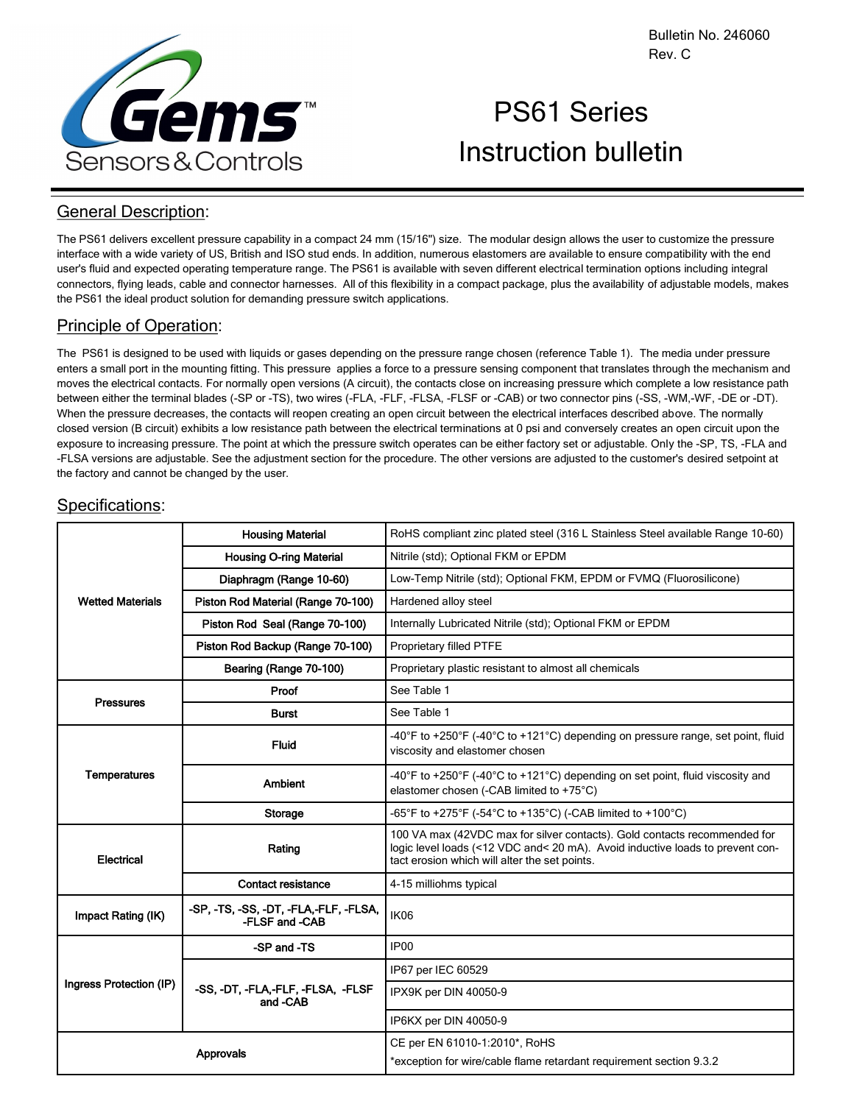

# PS61 Series Instruction bulletin

# General Description:

The PS61 delivers excellent pressure capability in a compact 24 mm (15/16") size. The modular design allows the user to customize the pressure interface with a wide variety of US, British and ISO stud ends. In addition, numerous elastomers are available to ensure compatibility with the end user's fluid and expected operating temperature range. The PS61 is available with seven different electrical termination options including integral connectors, flying leads, cable and connector harnesses. All of this flexibility in a compact package, plus the availability of adjustable models, makes the PS61 the ideal product solution for demanding pressure switch applications.

# Principle of Operation:

The PS61 is designed to be used with liquids or gases depending on the pressure range chosen (reference Table 1). The media under pressure enters a small port in the mounting fitting. This pressure applies a force to a pressure sensing component that translates through the mechanism and moves the electrical contacts. For normally open versions (A circuit), the contacts close on increasing pressure which complete a low resistance path between either the terminal blades (-SP or -TS), two wires (-FLA, -FLF, -FLSA, -FLSF or -CAB) or two connector pins (-SS, -WM,-WF, -DE or -DT). When the pressure decreases, the contacts will reopen creating an open circuit between the electrical interfaces described above. The normally closed version (B circuit) exhibits a low resistance path between the electrical terminations at 0 psi and conversely creates an open circuit upon the exposure to increasing pressure. The point at which the pressure switch operates can be either factory set or adjustable. Only the -SP, TS, -FLA and -FLSA versions are adjustable. See the adjustment section for the procedure. The other versions are adjusted to the customer's desired setpoint at the factory and cannot be changed by the user.

| <b>Wetted Materials</b> | <b>Housing Material</b>                                 | RoHS compliant zinc plated steel (316 L Stainless Steel available Range 10-60)                                                                                                                              |  |  |
|-------------------------|---------------------------------------------------------|-------------------------------------------------------------------------------------------------------------------------------------------------------------------------------------------------------------|--|--|
|                         | <b>Housing O-ring Material</b>                          | Nitrile (std); Optional FKM or EPDM                                                                                                                                                                         |  |  |
|                         | Diaphragm (Range 10-60)                                 | Low-Temp Nitrile (std); Optional FKM, EPDM or FVMQ (Fluorosilicone)                                                                                                                                         |  |  |
|                         | Piston Rod Material (Range 70-100)                      | Hardened alloy steel                                                                                                                                                                                        |  |  |
|                         | Piston Rod Seal (Range 70-100)                          | Internally Lubricated Nitrile (std); Optional FKM or EPDM                                                                                                                                                   |  |  |
|                         | Piston Rod Backup (Range 70-100)                        | Proprietary filled PTFE                                                                                                                                                                                     |  |  |
|                         | Bearing (Range 70-100)                                  | Proprietary plastic resistant to almost all chemicals                                                                                                                                                       |  |  |
| <b>Pressures</b>        | Proof                                                   | See Table 1                                                                                                                                                                                                 |  |  |
|                         | <b>Burst</b>                                            | See Table 1                                                                                                                                                                                                 |  |  |
| <b>Temperatures</b>     | <b>Fluid</b>                                            | -40°F to +250°F (-40°C to +121°C) depending on pressure range, set point, fluid<br>viscosity and elastomer chosen                                                                                           |  |  |
|                         | <b>Ambient</b>                                          | -40°F to +250°F (-40°C to +121°C) depending on set point, fluid viscosity and<br>elastomer chosen (-CAB limited to +75°C)                                                                                   |  |  |
|                         | Storage                                                 | -65°F to +275°F (-54°C to +135°C) (-CAB limited to +100°C)                                                                                                                                                  |  |  |
| Electrical              | Rating                                                  | 100 VA max (42VDC max for silver contacts). Gold contacts recommended for<br>logic level loads (<12 VDC and< 20 mA). Avoid inductive loads to prevent con-<br>tact erosion which will alter the set points. |  |  |
|                         | <b>Contact resistance</b>                               | 4-15 milliohms typical                                                                                                                                                                                      |  |  |
| Impact Rating (IK)      | -SP. -TS. -SS. -DT. -FLA.-FLF. -FLSA.<br>-FLSF and -CAB | IK06                                                                                                                                                                                                        |  |  |
|                         | -SP and -TS                                             | IP00                                                                                                                                                                                                        |  |  |
| Ingress Protection (IP) | -SS, -DT, -FLA,-FLF, -FLSA, -FLSF<br>and -CAB           | IP67 per IEC 60529                                                                                                                                                                                          |  |  |
|                         |                                                         | IPX9K per DIN 40050-9                                                                                                                                                                                       |  |  |
|                         |                                                         | IP6KX per DIN 40050-9                                                                                                                                                                                       |  |  |
| <b>Approvals</b>        |                                                         | CE per EN 61010-1:2010*, RoHS<br>*exception for wire/cable flame retardant requirement section 9.3.2                                                                                                        |  |  |

## Specifications: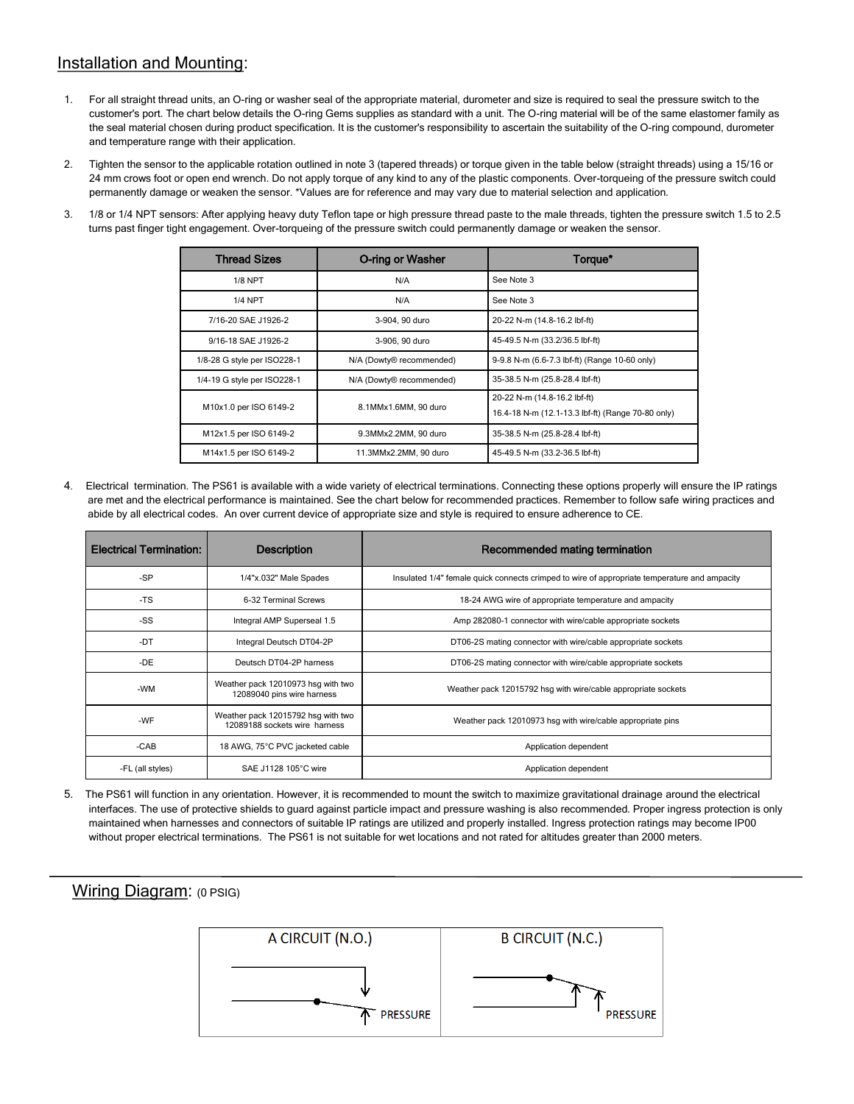# Installation and Mounting:

- 1. For all straight thread units, an O-ring or washer seal of the appropriate material, durometer and size is required to seal the pressure switch to the customer's port. The chart below details the O-ring Gems supplies as standard with a unit. The O-ring material will be of the same elastomer family as the seal material chosen during product specification. It is the customer's responsibility to ascertain the suitability of the O-ring compound, durometer and temperature range with their application.
- 2. Tighten the sensor to the applicable rotation outlined in note 3 (tapered threads) or torque given in the table below (straight threads) using a 15/16 or 24 mm crows foot or open end wrench. Do not apply torque of any kind to any of the plastic components. Over-torqueing of the pressure switch could permanently damage or weaken the sensor. \*Values are for reference and may vary due to material selection and application.
- 3. 1/8 or 1/4 NPT sensors: After applying heavy duty Teflon tape or high pressure thread paste to the male threads, tighten the pressure switch 1.5 to 2.5 turns past finger tight engagement. Over-torqueing of the pressure switch could permanently damage or weaken the sensor.

| <b>Thread Sizes</b>         | <b>O-ring or Washer</b>  | Torque*                                                                           |  |  |
|-----------------------------|--------------------------|-----------------------------------------------------------------------------------|--|--|
| <b>1/8 NPT</b>              | N/A                      | See Note 3                                                                        |  |  |
| <b>1/4 NPT</b>              | N/A                      | See Note 3                                                                        |  |  |
| 7/16-20 SAE J1926-2         | 3-904, 90 duro           | 20-22 N-m (14.8-16.2 lbf-ft)                                                      |  |  |
| 9/16-18 SAE J1926-2         | 3-906, 90 duro           | 45-49.5 N-m (33.2/36.5 lbf-ft)                                                    |  |  |
| 1/8-28 G style per ISO228-1 | N/A (Dowty® recommended) | 9-9.8 N-m (6.6-7.3 lbf-ft) (Range 10-60 only)                                     |  |  |
| 1/4-19 G style per ISO228-1 | N/A (Dowty® recommended) | 35-38.5 N-m (25.8-28.4 lbf-ft)                                                    |  |  |
| M10x1.0 per ISO 6149-2      | 8.1MMx1.6MM, 90 duro     | 20-22 N-m (14.8-16.2 lbf-ft)<br>16.4-18 N-m (12.1-13.3 lbf-ft) (Range 70-80 only) |  |  |
| M12x1.5 per ISO 6149-2      | 9.3MMx2.2MM, 90 duro     | 35-38.5 N-m (25.8-28.4 lbf-ft)                                                    |  |  |
| M14x1.5 per ISO 6149-2      | 11.3MMx2.2MM, 90 duro    | 45-49.5 N-m (33.2-36.5 lbf-ft)                                                    |  |  |

4. Electrical termination. The PS61 is available with a wide variety of electrical terminations. Connecting these options properly will ensure the IP ratings are met and the electrical performance is maintained. See the chart below for recommended practices. Remember to follow safe wiring practices and abide by all electrical codes. An over current device of appropriate size and style is required to ensure adherence to CE.

| <b>Electrical Termination:</b> | <b>Description</b>                                                  | Recommended mating termination                                                               |  |  |
|--------------------------------|---------------------------------------------------------------------|----------------------------------------------------------------------------------------------|--|--|
| -SP                            | 1/4"x.032" Male Spades                                              | Insulated 1/4" female quick connects crimped to wire of appropriate temperature and ampacity |  |  |
| -TS                            | 6-32 Terminal Screws                                                | 18-24 AWG wire of appropriate temperature and ampacity                                       |  |  |
| -SS                            | Integral AMP Superseal 1.5                                          | Amp 282080-1 connector with wire/cable appropriate sockets                                   |  |  |
| -DT                            | Integral Deutsch DT04-2P                                            | DT06-2S mating connector with wire/cable appropriate sockets                                 |  |  |
| -DE                            | Deutsch DT04-2P harness                                             | DT06-2S mating connector with wire/cable appropriate sockets                                 |  |  |
| -WM                            | Weather pack 12010973 hsq with two<br>12089040 pins wire harness    | Weather pack 12015792 hsq with wire/cable appropriate sockets                                |  |  |
| -WF                            | Weather pack 12015792 hsq with two<br>12089188 sockets wire harness | Weather pack 12010973 hsg with wire/cable appropriate pins                                   |  |  |
| $-CAB$                         | 18 AWG, 75°C PVC jacketed cable                                     | Application dependent                                                                        |  |  |
| -FL (all styles)               | SAE J1128 105°C wire                                                | Application dependent                                                                        |  |  |

5. The PS61 will function in any orientation. However, it is recommended to mount the switch to maximize gravitational drainage around the electrical interfaces. The use of protective shields to guard against particle impact and pressure washing is also recommended. Proper ingress protection is only maintained when harnesses and connectors of suitable IP ratings are utilized and properly installed. Ingress protection ratings may become IP00 without proper electrical terminations. The PS61 is not suitable for wet locations and not rated for altitudes greater than 2000 meters.

## Wiring Diagram: (0 PSIG)

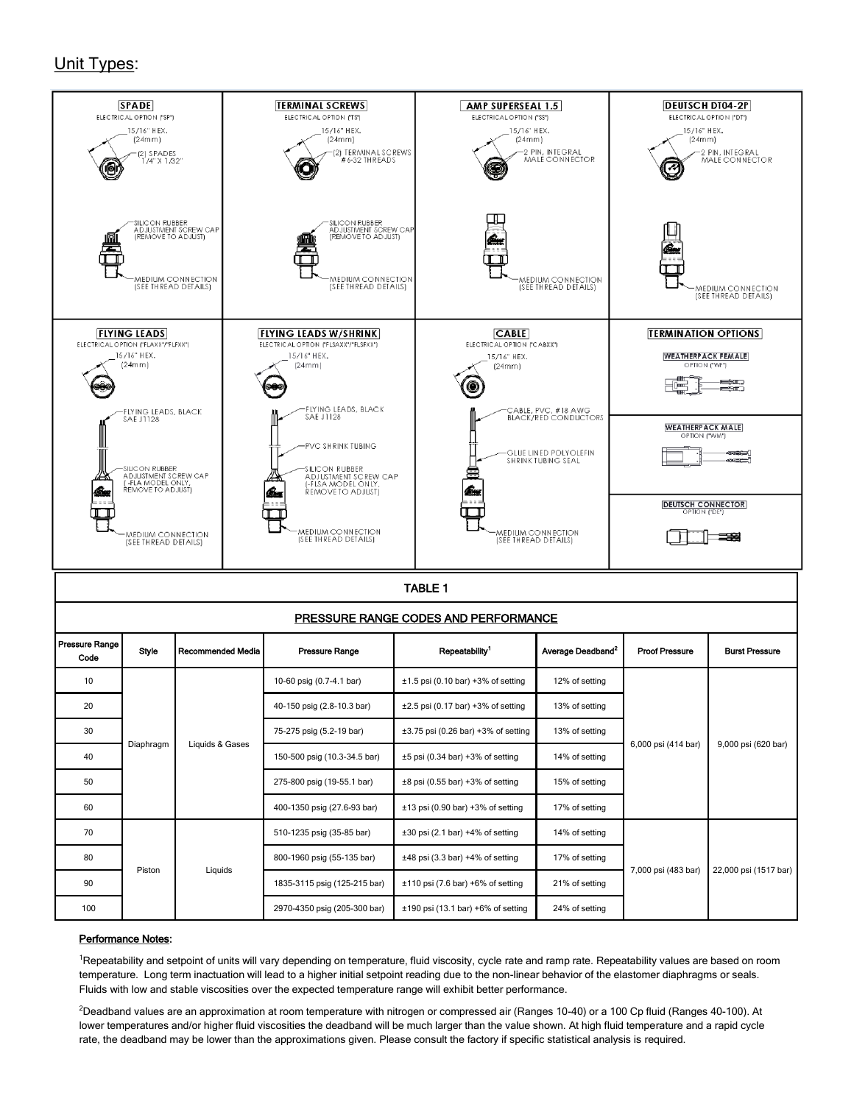# Unit Types:



| PRESSURE RANGE CODES AND PERFORMANCE |           |                   |                              |                                          |                               |                       |                       |  |  |
|--------------------------------------|-----------|-------------------|------------------------------|------------------------------------------|-------------------------------|-----------------------|-----------------------|--|--|
| Pressure Range  <br>Code             | Style     | Recommended Media | <b>Pressure Range</b>        | Repeatability <sup>1</sup>               | Average Deadband <sup>2</sup> | <b>Proof Pressure</b> | <b>Burst Pressure</b> |  |  |
| 10                                   | Diaphragm | Liquids & Gases   | 10-60 psig (0.7-4.1 bar)     | $\pm 1.5$ psi (0.10 bar) +3% of setting  | 12% of setting                | 6,000 psi (414 bar)   | 9,000 psi (620 bar)   |  |  |
| 20                                   |           |                   | 40-150 psig (2.8-10.3 bar)   | $\pm 2.5$ psi (0.17 bar) +3% of setting  | 13% of setting                |                       |                       |  |  |
| 30                                   |           |                   | 75-275 psig (5.2-19 bar)     | $\pm 3.75$ psi (0.26 bar) +3% of setting | 13% of setting                |                       |                       |  |  |
| 40                                   |           |                   | 150-500 psig (10.3-34.5 bar) | $\pm 5$ psi (0.34 bar) +3% of setting    | 14% of setting                |                       |                       |  |  |
| 50                                   |           |                   | 275-800 psig (19-55.1 bar)   | $\pm 8$ psi (0.55 bar) +3% of setting    | 15% of setting                |                       |                       |  |  |
| 60                                   |           |                   | 400-1350 psig (27.6-93 bar)  | $\pm 13$ psi (0.90 bar) +3% of setting   | 17% of setting                |                       |                       |  |  |
| 70                                   | Piston    | Liquids           | 510-1235 psig (35-85 bar)    | $\pm 30$ psi (2.1 bar) +4% of setting    | 14% of setting                | 7,000 psi (483 bar)   | 22,000 psi (1517 bar) |  |  |
| 80                                   |           |                   | 800-1960 psig (55-135 bar)   | $\pm 48$ psi (3.3 bar) +4% of setting    | 17% of setting                |                       |                       |  |  |
| 90                                   |           |                   | 1835-3115 psig (125-215 bar) | $\pm 110$ psi (7.6 bar) +6% of setting   | 21% of setting                |                       |                       |  |  |
| 100                                  |           |                   | 2970-4350 psig (205-300 bar) | $±190$ psi (13.1 bar) $+6\%$ of setting  | 24% of setting                |                       |                       |  |  |

#### Performance Notes:

<sup>1</sup>Repeatability and setpoint of units will vary depending on temperature, fluid viscosity, cycle rate and ramp rate. Repeatability values are based on room temperature. Long term inactuation will lead to a higher initial setpoint reading due to the non-linear behavior of the elastomer diaphragms or seals. Fluids with low and stable viscosities over the expected temperature range will exhibit better performance.

 ${}^{2}$ Deadband values are an approximation at room temperature with nitrogen or compressed air (Ranges 10-40) or a 100 Cp fluid (Ranges 40-100). At lower temperatures and/or higher fluid viscosities the deadband will be much larger than the value shown. At high fluid temperature and a rapid cycle rate, the deadband may be lower than the approximations given. Please consult the factory if specific statistical analysis is required.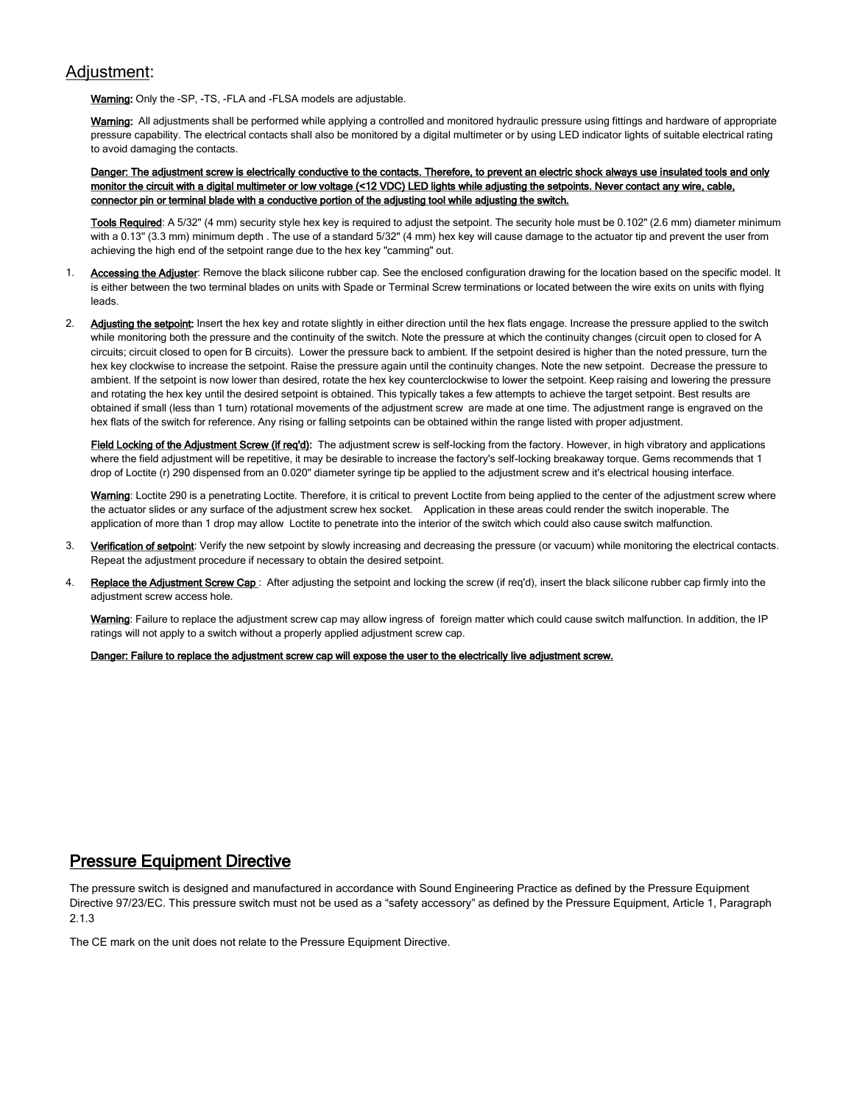## Adjustment:

Warning: Only the -SP, -TS, -FLA and -FLSA models are adjustable.

Warning: All adjustments shall be performed while applying a controlled and monitored hydraulic pressure using fittings and hardware of appropriate pressure capability. The electrical contacts shall also be monitored by a digital multimeter or by using LED indicator lights of suitable electrical rating to avoid damaging the contacts.

Danger: The adjustment screw is electrically conductive to the contacts. Therefore, to prevent an electric shock always use insulated tools and only monitor the circuit with a digital multimeter or low voltage (<12 VDC) LED lights while adjusting the setpoints. Never contact any wire, cable, connector pin or terminal blade with a conductive portion of the adjusting tool while adjusting the switch.

Tools Required: A 5/32" (4 mm) security style hex key is required to adjust the setpoint. The security hole must be 0.102" (2.6 mm) diameter minimum with a 0.13" (3.3 mm) minimum depth . The use of a standard 5/32" (4 mm) hex key will cause damage to the actuator tip and prevent the user from achieving the high end of the setpoint range due to the hex key "camming" out.

- 1. Accessing the Adjuster: Remove the black silicone rubber cap. See the enclosed configuration drawing for the location based on the specific model. It is either between the two terminal blades on units with Spade or Terminal Screw terminations or located between the wire exits on units with flying leads.
- 2. Adjusting the setpoint: Insert the hex key and rotate slightly in either direction until the hex flats engage. Increase the pressure applied to the switch while monitoring both the pressure and the continuity of the switch. Note the pressure at which the continuity changes (circuit open to closed for A circuits; circuit closed to open for B circuits). Lower the pressure back to ambient. If the setpoint desired is higher than the noted pressure, turn the hex key clockwise to increase the setpoint. Raise the pressure again until the continuity changes. Note the new setpoint. Decrease the pressure to ambient. If the setpoint is now lower than desired, rotate the hex key counterclockwise to lower the setpoint. Keep raising and lowering the pressure and rotating the hex key until the desired setpoint is obtained. This typically takes a few attempts to achieve the target setpoint. Best results are obtained if small (less than 1 turn) rotational movements of the adjustment screw are made at one time. The adjustment range is engraved on the hex flats of the switch for reference. Any rising or falling setpoints can be obtained within the range listed with proper adjustment.

Field Locking of the Adjustment Screw (if req'd): The adjustment screw is self-locking from the factory. However, in high vibratory and applications where the field adjustment will be repetitive, it may be desirable to increase the factory's self-locking breakaway torque. Gems recommends that 1 drop of Loctite (r) 290 dispensed from an 0.020" diameter syringe tip be applied to the adjustment screw and it's electrical housing interface.

Warning: Loctite 290 is a penetrating Loctite. Therefore, it is critical to prevent Loctite from being applied to the center of the adjustment screw where the actuator slides or any surface of the adjustment screw hex socket. Application in these areas could render the switch inoperable. The application of more than 1 drop may allow Loctite to penetrate into the interior of the switch which could also cause switch malfunction.

- 3. Verification of setpoint: Verify the new setpoint by slowly increasing and decreasing the pressure (or vacuum) while monitoring the electrical contacts. Repeat the adjustment procedure if necessary to obtain the desired setpoint.
- 4. Replace the Adjustment Screw Cap: After adjusting the setpoint and locking the screw (if req'd), insert the black silicone rubber cap firmly into the adjustment screw access hole.

Warning: Failure to replace the adjustment screw cap may allow ingress of foreign matter which could cause switch malfunction. In addition, the IP ratings will not apply to a switch without a properly applied adjustment screw cap.

Danger: Failure to replace the adjustment screw cap will expose the user to the electrically live adjustment screw.

## Pressure Equipment Directive

The pressure switch is designed and manufactured in accordance with Sound Engineering Practice as defined by the Pressure Equipment Directive 97/23/EC. This pressure switch must not be used as a "safety accessory" as defined by the Pressure Equipment, Article 1, Paragraph 2.1.3

The CE mark on the unit does not relate to the Pressure Equipment Directive.